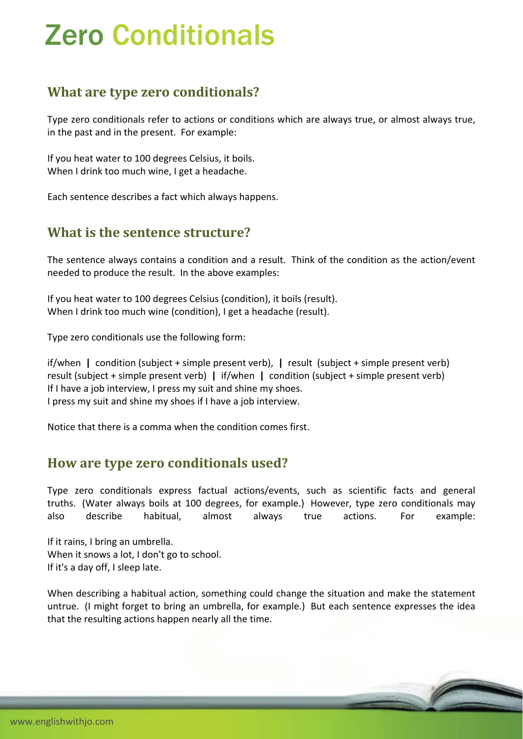# Zero Conditionals

## **What are type zero conditionals?**

Type zero conditionals refer to actions or conditions which are always true, or almost always true, in the past and in the present. For example:

If you heat water to 100 degrees Celsius, it boils. When I drink too much wine, I get a headache.

Each sentence describes a fact which always happens.

### **What is the sentence structure?**

The sentence always contains a condition and a result. Think of the condition as the action/event needed to produce the result. In the above examples:

If you heat water to 100 degrees Celsius (condition), it boils (result). When I drink too much wine (condition), I get a headache (result).

Type zero conditionals use the following form:

if/when **|** condition (subject + simple present verb), **|** result (subject + simple present verb) result (subject + simple present verb) **|** if/when **|** condition (subject + simple present verb) If I have a job interview, I press my suit and shine my shoes. I press my suit and shine my shoes if I have a job interview.

Notice that there is a comma when the condition comes first.

#### **How are type zero conditionals used?**

Type zero conditionals express factual actions/events, such as scientific facts and general truths. (Water always boils at 100 degrees, for example.) However, type zero conditionals may also describe habitual, almost always true actions. For example:

If it rains, I bring an umbrella. When it snows a lot, I don't go to school. If it's a day off, I sleep late.

When describing a habitual action, something could change the situation and make the statement untrue. (I might forget to bring an umbrella, for example.) But each sentence expresses the idea that the resulting actions happen nearly all the time.